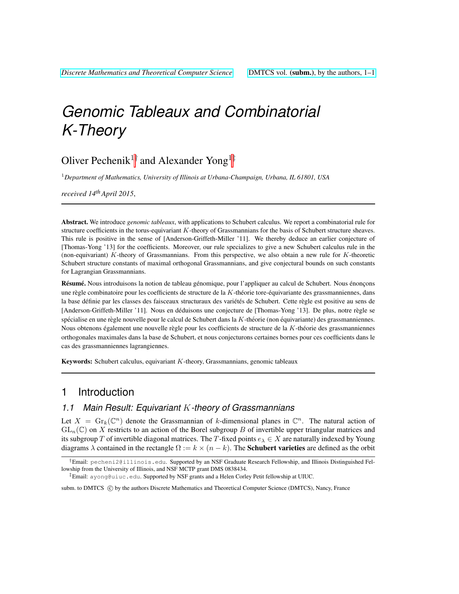# *Genomic Tableaux and Combinatorial K-Theory*

# Oliver Pechenik<sup>1†</sup> and Alexander Yong<sup>1‡</sup>

<sup>1</sup>*Department of Mathematics, University of Illinois at Urbana-Champaign, Urbana, IL 61801, USA*

*received 14thApril 2015*,

Abstract. We introduce *genomic tableaux*, with applications to Schubert calculus. We report a combinatorial rule for structure coefficients in the torus-equivariant K-theory of Grassmannians for the basis of Schubert structure sheaves. This rule is positive in the sense of [Anderson-Griffeth-Miller '11]. We thereby deduce an earlier conjecture of [Thomas-Yong '13] for the coefficients. Moreover, our rule specializes to give a new Schubert calculus rule in the (non-equivariant) K-theory of Grassmannians. From this perspective, we also obtain a new rule for K-theoretic Schubert structure constants of maximal orthogonal Grassmannians, and give conjectural bounds on such constants for Lagrangian Grassmannians.

Résumé. Nous introduisons la notion de tableau génomique, pour l'appliquer au calcul de Schubert. Nous énonçons une règle combinatoire pour les coefficients de structure de la K-théorie tore-équivariante des grassmanniennes, dans la base définie par les classes des faisceaux structuraux des variétés de Schubert. Cette règle est positive au sens de [Anderson-Griffeth-Miller '11]. Nous en déduisons une conjecture de [Thomas-Yong '13]. De plus, notre règle se spécialise en une règle nouvelle pour le calcul de Schubert dans la  $K$ -théorie (non équivariante) des grassmanniennes. Nous obtenons également une nouvelle règle pour les coefficients de structure de la  $K$ -théorie des grassmanniennes orthogonales maximales dans la base de Schubert, et nous conjecturons certaines bornes pour ces coefficients dans le cas des grassmanniennes lagrangiennes.

Keywords: Schubert calculus, equivariant  $K$ -theory, Grassmannians, genomic tableaux

### 1 Introduction

#### *1.1 Main Result: Equivariant* K*-theory of Grassmannians*

Let  $X = \mathrm{Gr}_k(\mathbb{C}^n)$  denote the Grassmannian of k-dimensional planes in  $\mathbb{C}^n$ . The natural action of  $GL_n(\mathbb{C})$  on X restricts to an action of the Borel subgroup B of invertible upper triangular matrices and its subgroup T of invertible diagonal matrices. The T-fixed points  $e_{\lambda} \in X$  are naturally indexed by Young diagrams  $\lambda$  contained in the rectangle  $\Omega := k \times (n - k)$ . The **Schubert varieties** are defined as the orbit

subm. to DMTCS  $\odot$  by the authors Discrete Mathematics and Theoretical Computer Science (DMTCS), Nancy, France

 $^\dagger$ Email: pecheni2@illinois.edu. Supported by an NSF Graduate Research Fellowship, and Illinois Distinguished Fellowship from the University of Illinois, and NSF MCTP grant DMS 0838434.

<sup>‡</sup>Email: ayong@uiuc.edu. Supported by NSF grants and a Helen Corley Petit fellowship at UIUC.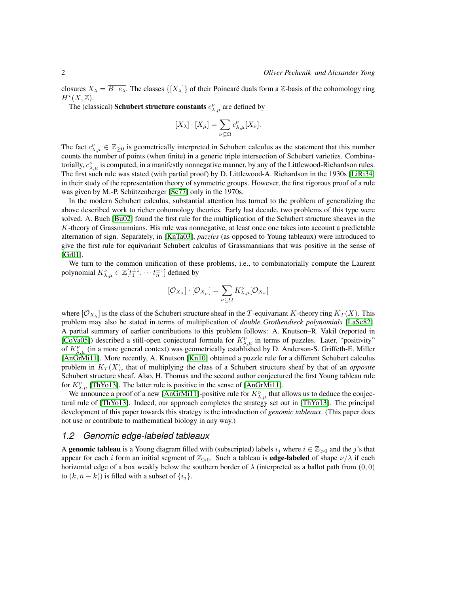closures  $X_{\lambda} = \overline{B_{-}e_{\lambda}}$ . The classes  $\{X_{\lambda}\}\$  of their Poincaré duals form a  $\mathbb{Z}$ -basis of the cohomology ring  $H^*(X,\mathbb{Z})$ .

The (classical) **Schubert structure constants**  $c^{\nu}_{\lambda,\mu}$  are defined by

$$
[X_{\lambda}] \cdot [X_{\mu}] = \sum_{\nu \subseteq \Omega} c_{\lambda,\mu}^{\nu} [X_{\nu}].
$$

The fact  $c_{\lambda,\mu}^{\nu} \in \mathbb{Z}_{\geq 0}$  is geometrically interpreted in Schubert calculus as the statement that this number counts the number of points (when finite) in a generic triple intersection of Schubert varieties. Combinatorially,  $c_{\lambda,\mu}^{\nu}$  is computed, in a manifestly nonnegative manner, by any of the Littlewood-Richardson rules. The first such rule was stated (with partial proof) by D. Littlewood-A. Richardson in the 1930s [\[LiRi34\]](#page-11-0) in their study of the representation theory of symmetric groups. However, the first rigorous proof of a rule was given by M.-P. Schützenberger  $[Sc77]$  only in the 1970s.

In the modern Schubert calculus, substantial attention has turned to the problem of generalizing the above described work to richer cohomology theories. Early last decade, two problems of this type were solved. A. Buch [\[Bu02\]](#page-10-0) found the first rule for the multiplication of the Schubert structure sheaves in the K-theory of Grassmannians. His rule was nonnegative, at least once one takes into account a predictable alternation of sign. Separately, in [\[KnTa03\]](#page-11-2), *puzzles* (as opposed to Young tableaux) were introduced to give the first rule for equivariant Schubert calculus of Grassmannians that was positive in the sense of [\[Gr01\]](#page-10-1).

We turn to the common unification of these problems, i.e., to combinatorially compute the Laurent polynomial  $K_{\lambda,\mu}^{\nu} \in \mathbb{Z}[t_1^{\pm 1}, \cdots t_n^{\pm 1}]$  defined by

$$
[\mathcal{O}_{X_{\lambda}}]\cdot[\mathcal{O}_{X_{\mu}}]=\sum_{\nu\subseteq\Omega}K_{\lambda,\mu}^{\nu}[\mathcal{O}_{X_{\nu}}]
$$

where  $[O_{X_\lambda}]$  is the class of the Schubert structure sheaf in the T-equivariant K-theory ring  $K_T(X)$ . This problem may also be stated in terms of multiplication of *double Grothendieck polynomials* [\[LaSc82\]](#page-11-3). A partial summary of earlier contributions to this problem follows: A. Knutson–R. Vakil (reported in [\[CoVa05\]](#page-10-2)) described a still-open conjectural formula for  $K_{\lambda,\mu}^{\nu}$  in terms of puzzles. Later, "positivity" of  $K_{\lambda,\mu}^{\nu}$  (in a more general context) was geometrically established by D. Anderson-S. Griffeth-E. Miller [\[AnGrMi11\]](#page-10-3). More recently, A. Knutson [\[Kn10\]](#page-11-4) obtained a puzzle rule for a different Schubert calculus problem in  $K_T(X)$ , that of multiplying the class of a Schubert structure sheaf by that of an *opposite* Schubert structure sheaf. Also, H. Thomas and the second author conjectured the first Young tableau rule for  $K^{\nu}_{\lambda,\mu}$  [\[ThYo13\]](#page-11-5). The latter rule is positive in the sense of [\[AnGrMi11\]](#page-10-3).

We announce a proof of a new [\[AnGrMi11\]](#page-10-3)-positive rule for  $K_{\lambda,\mu}^{\nu}$  that allows us to deduce the conjectural rule of [\[ThYo13\]](#page-11-5). Indeed, our approach completes the strategy set out in [\[ThYo13\]](#page-11-5). The principal development of this paper towards this strategy is the introduction of *genomic tableaux*. (This paper does not use or contribute to mathematical biology in any way.)

#### *1.2 Genomic edge-labeled tableaux*

A genomic tableau is a Young diagram filled with (subscripted) labels  $i_j$  where  $i \in \mathbb{Z}_{>0}$  and the j's that appear for each i form an initial segment of  $\mathbb{Z}_{>0}$ . Such a tableau is **edge-labeled** of shape  $\nu/\lambda$  if each horizontal edge of a box weakly below the southern border of  $\lambda$  (interpreted as a ballot path from  $(0, 0)$ ) to  $(k, n - k)$ ) is filled with a subset of  $\{i_j\}$ .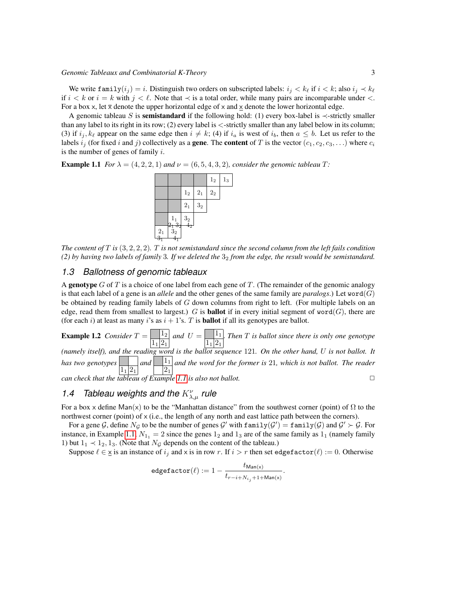We write family $(i_j) = i$ . Distinguish two orders on subscripted labels:  $i_j < k_\ell$  if  $i < k$ ; also  $i_j \prec k_\ell$ if  $i < k$  or  $i = k$  with  $j < \ell$ . Note that  $\prec$  is a total order, while many pairs are incomparable under <. For a box x, let  $\bar{x}$  denote the upper horizontal edge of x and x denote the lower horizontal edge.

A genomic tableau S is **semistandard** if the following hold: (1) every box-label is  $\prec$ -strictly smaller than any label to its right in its row; (2) every label is <-strictly smaller than any label below in its column; (3) if  $i_j, k_\ell$  appear on the same edge then  $i \neq k$ ; (4) if  $i_a$  is west of  $i_b$ , then  $a \leq b$ . Let us refer to the labels  $i_j$  (for fixed i and j) collectively as a **gene**. The **content** of T is the vector  $(c_1, c_2, c_3, \ldots)$  where  $c_i$ is the number of genes of family  $i$ .

<span id="page-2-0"></span>**Example 1.1** *For*  $\lambda = (4, 2, 2, 1)$  *and*  $\nu = (6, 5, 4, 3, 2)$ *, consider the genomic tableau*  $T$ *:* 



*The content of* T *is* (3, 2, 2, 2)*.* T *is not semistandard since the second column from the left fails condition (2) by having two labels of family* 3*. If we deleted the* 3<sup>2</sup> *from the edge, the result would be semistandard.*

#### *1.3 Ballotness of genomic tableaux*

A genotype  $G$  of  $T$  is a choice of one label from each gene of  $T$ . (The remainder of the genomic analogy is that each label of a gene is an *allele* and the other genes of the same family are *paralogs*.) Let word( $G$ ) be obtained by reading family labels of G down columns from right to left. (For multiple labels on an edge, read them from smallest to largest.) G is **ballot** if in every initial segment of word(G), there are (for each i) at least as many i's as  $i + 1$ 's. T is **ballot** if all its genotypes are ballot.

**Example 1.2** *Consider*  $T = \frac{1_2}{1_2}$  $1_1|2_1$ *and*  $U = \bigsqcup \frac{1_1}{1}$  $1_1|2_1$ . *Then* T *is ballot since there is only one genotype (namely itself), and the reading word is the ballot sequence* 121*. On the other hand,* U *is not ballot. It has two genotypes*  $1_1|2_1$ and  $1_1$  $2<sub>1</sub>$ *and the word for the former is* 21*, which is not ballot. The reader can check that the tableau of Example [1.1](#page-2-0) is also not ballot.* ✷

### 1.4 Tableau weights and the  $K_{\lambda,\mu}^{\nu}$  rule

For a box x define Man(x) to be the "Manhattan distance" from the southwest corner (point) of  $\Omega$  to the northwest corner (point) of  $x$  (i.e., the length of any north and east lattice path between the corners).

For a gene G, define  $N_G$  to be the number of genes G' with  $\texttt{family}(G') = \texttt{family}(G)$  and  $G' \succ G$ . For instance, in Example [1.1,](#page-2-0)  $N_{1_1} = 2$  since the genes  $1_2$  and  $1_3$  are of the same family as  $1_1$  (namely family 1) but  $1_1 \prec 1_2$ ,  $1_3$ . (Note that  $N_g$  depends on the content of the tableau.)

Suppose  $\ell \in \underline{x}$  is an instance of  $i_j$  and x is in row r. If  $i > r$  then set edgefactor( $\ell$ ) := 0. Otherwise

$$
\texttt{edgefactor}(\ell) := 1 - \frac{t_{\mathsf{Man}(x)}}{t_{r-i+N_{i_j}+1+\mathsf{Man}(x)}}.
$$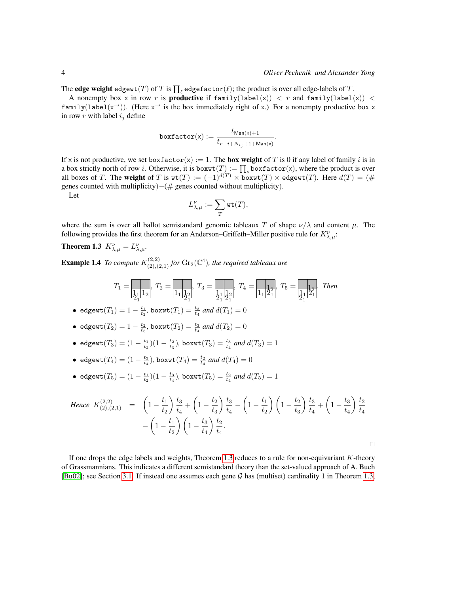The **edge weight** edgewt $(T)$  of  $T$  is  $\prod_\ell$  edgefactor $(\ell);$  the product is over all edge-labels of  $T.$ 

A nonempty box x in row r is **productive** if  $familylabel(x)) < r$  and  $familylabel(x)) <$ family(label(x<sup>→</sup>)). (Here x<sup>→</sup> is the box immediately right of x.) For a nonempty productive box x in row  $r$  with label  $i_j$  define

$$
\texttt{boxfactor}(\mathbf{x}) := \frac{t_{\mathsf{Man}(\mathbf{x})+1}}{t_{r-i+N_{i_j}+1+\mathsf{Man}(\mathbf{x})}}.
$$

If x is not productive, we set boxfactor(x) := 1. The **box weight** of T is 0 if any label of family i is in a box strictly north of row *i*. Otherwise, it is box $wt(T) := \prod_x$  boxfactor(x), where the product is over all boxes of T. The weight of T is  $wt(T) := (-1)^{d(T)} \times boxwt(T) \times edgewt(T)$ . Here  $d(T) = (\#$ genes counted with multiplicity)−(# genes counted without multiplicity).

Let

<span id="page-3-0"></span>
$$
L_{\lambda,\mu}^{\nu}:=\sum_{T}\mathrm{wt}(T),
$$

where the sum is over all ballot semistandard genomic tableaux T of shape  $\nu/\lambda$  and content  $\mu$ . The following provides the first theorem for an Anderson–Griffeth–Miller positive rule for  $K^{\nu}_{\lambda,\mu}$ :

**Theorem 1.3**  $K_{\lambda,\mu}^{\nu} = L_{\lambda,\mu}^{\nu}$ .

<span id="page-3-1"></span>**Example 1.4** To compute  $K_{(2),(2,1)}^{(2,2)}$  for  $\text{Gr}_2(\mathbb{C}^4)$ , the required tableaux are

T<sup>1</sup> = 1<sup>1</sup> 1<sup>2</sup> , T<sup>2</sup> = 1<sup>1</sup> 1<sup>2</sup> , T<sup>3</sup> = 1<sup>1</sup> 1<sup>2</sup> , T<sup>4</sup> = 1<sup>1</sup> 2<sup>1</sup> , T<sup>5</sup> = 1<sup>1</sup> 2<sup>1</sup> . *Then* 2<sup>1</sup> 2<sup>1</sup> 2<sup>1</sup> 2<sup>1</sup> 1<sup>2</sup> 1<sup>2</sup> 21

- edgewt $(T_1) = 1 \frac{t_1}{t_2}$ , boxwt $(T_1) = \frac{t_3}{t_4}$  and  $d(T_1) = 0$
- edgewt $(T_2) = 1 \frac{t_2}{t_3}$ , boxwt $(T_2) = \frac{t_3}{t_4}$  and  $d(T_2) = 0$
- edgewt $(T_3) = (1 \frac{t_1}{t_2})(1 \frac{t_2}{t_3})$ , boxwt $(T_3) = \frac{t_3}{t_4}$  and  $d(T_3) = 1$
- edgewt $(T_4) = (1 \frac{t_3}{t_4})$ , boxwt $(T_4) = \frac{t_2}{t_4}$  and  $d(T_4) = 0$
- edgewt $(T_5) = (1 \frac{t_1}{t_2})(1 \frac{t_3}{t_4})$ , boxwt $(T_5) = \frac{t_2}{t_4}$  and  $d(T_5) = 1$

Hence 
$$
K_{(2),(2,1)}^{(2,2)} = \left(1 - \frac{t_1}{t_2}\right) \frac{t_3}{t_4} + \left(1 - \frac{t_2}{t_3}\right) \frac{t_3}{t_4} - \left(1 - \frac{t_1}{t_2}\right) \left(1 - \frac{t_2}{t_3}\right) \frac{t_3}{t_4} + \left(1 - \frac{t_3}{t_4}\right) \frac{t_2}{t_4} - \left(1 - \frac{t_1}{t_2}\right) \left(1 - \frac{t_3}{t_4}\right) \frac{t_2}{t_4}.
$$

 $\Box$ 

If one drops the edge labels and weights, Theorem [1.3](#page-3-0) reduces to a rule for non-equivariant K-theory of Grassmannians. This indicates a different semistandard theory than the set-valued approach of A. Buch  $[Bu02]$ ; see Section [3.1.](#page-6-0) If instead one assumes each gene G has (multiset) cardinality 1 in Theorem [1.3,](#page-3-0)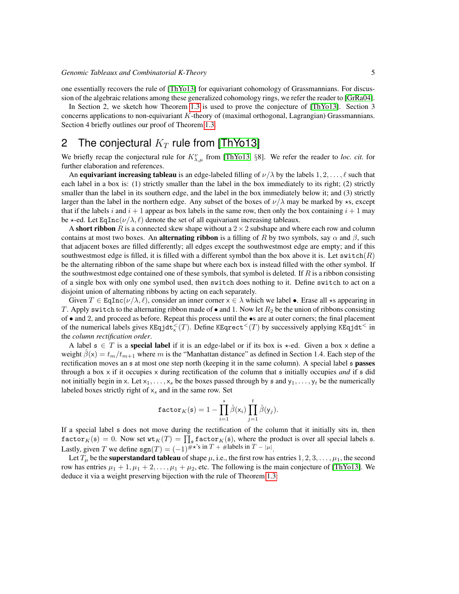one essentially recovers the rule of [\[ThYo13\]](#page-11-5) for equivariant cohomology of Grassmannians. For discussion of the algebraic relations among these generalized cohomology rings, we refer the reader to [\[GrRa04\]](#page-10-4).

In Section 2, we sketch how Theorem [1.3](#page-3-0) is used to prove the conjecture of [\[ThYo13\]](#page-11-5). Section 3 concerns applications to non-equivariant K-theory of (maximal orthogonal, Lagrangian) Grassmannians. Section 4 briefly outlines our proof of Theorem [1.3.](#page-3-0)

### 2 The conjectural  $K_T$  rule from [\[ThYo13\]](#page-11-5)

We briefly recap the conjectural rule for  $K_{\lambda,\mu}^{\nu}$  from [\[ThYo13,](#page-11-5) §8]. We refer the reader to *loc. cit.* for further elaboration and references.

An equivariant increasing tableau is an edge-labeled filling of  $\nu/\lambda$  by the labels  $1, 2, \ldots, \ell$  such that each label in a box is: (1) strictly smaller than the label in the box immediately to its right; (2) strictly smaller than the label in its southern edge, and the label in the box immediately below it; and (3) strictly larger than the label in the northern edge. Any subset of the boxes of  $\nu/\lambda$  may be marked by  $\star$ s, except that if the labels i and  $i + 1$  appear as box labels in the same row, then only the box containing  $i + 1$  may be  $\star$ -ed. Let EqInc( $\nu/\lambda$ ,  $\ell$ ) denote the set of all equivariant increasing tableaux.

A short ribbon R is a connected skew shape without a  $2 \times 2$  subshape and where each row and column contains at most two boxes. An **alternating ribbon** is a filling of R by two symbols, say  $\alpha$  and  $\beta$ , such that adjacent boxes are filled differently; all edges except the southwestmost edge are empty; and if this southwestmost edge is filled, it is filled with a different symbol than the box above it is. Let switch $(R)$ be the alternating ribbon of the same shape but where each box is instead filled with the other symbol. If the southwestmost edge contained one of these symbols, that symbol is deleted. If  $R$  is a ribbon consisting of a single box with only one symbol used, then switch does nothing to it. Define switch to act on a disjoint union of alternating ribbons by acting on each separately.

Given  $T \in \text{EqInc}(\nu/\lambda, \ell)$ , consider an inner corner  $x \in \lambda$  which we label •. Erase all  $\star$ s appearing in T. Apply switch to the alternating ribbon made of  $\bullet$  and 1. Now let  $R_2$  be the union of ribbons consisting of • and 2, and proceed as before. Repeat this process until the •s are at outer corners; the final placement of the numerical labels gives KEqjdt $^{<}_{\times}(T)$ . Define KEqrect $^{<}(T)$  by successively applying KEqjdt $^{<}$  in the *column rectification order*.

A label  $s \in T$  is a special label if it is an edge-label or if its box is  $\star$ -ed. Given a box x define a weight  $\beta(x) = t_m/t_{m+1}$  where m is the "Manhattan distance" as defined in Section 1.4. Each step of the rectification moves an  $\epsilon$  at most one step north (keeping it in the same column). A special label  $\epsilon$  passes through a box  $\times$  if it occupies  $\times$  during rectification of the column that  $\frak s$  initially occupies *and* if  $\frak s$  did not initially begin in x. Let  $x_1, \ldots, x_s$  be the boxes passed through by s and  $y_1, \ldots, y_t$  be the numerically labeled boxes strictly right of  $x_s$  and in the same row. Set

$$
\texttt{factor}_K(\mathfrak{s}) = 1 - \prod_{i=1}^s \hat{\beta}(x_i) \prod_{j=1}^t \hat{\beta}(y_j).
$$

If a special label s does not move during the rectification of the column that it initially sits in, then  $\texttt{factor}_K(\mathfrak{s}) = 0.$  Now set  $\texttt{wt}_K(T) = \prod_{\mathfrak{s}} \texttt{factor}_K(\mathfrak{s})$ , where the product is over all special labels  $\mathfrak{s}$ . Lastly, given T we define  $sgn(T) = (-1)^{\# \star s}$  in  $T + \#$ labels in  $T - |\mu|$ .

Let  $T_{\mu}$  be the **superstandard tableau** of shape  $\mu$ , i.e., the first row has entries  $1, 2, 3, \dots, \mu_1$ , the second row has entries  $\mu_1 + 1, \mu_1 + 2, \dots, \mu_1 + \mu_2$ , etc. The following is the main conjecture of [\[ThYo13\]](#page-11-5). We deduce it via a weight preserving bijection with the rule of Theorem [1.3:](#page-3-0)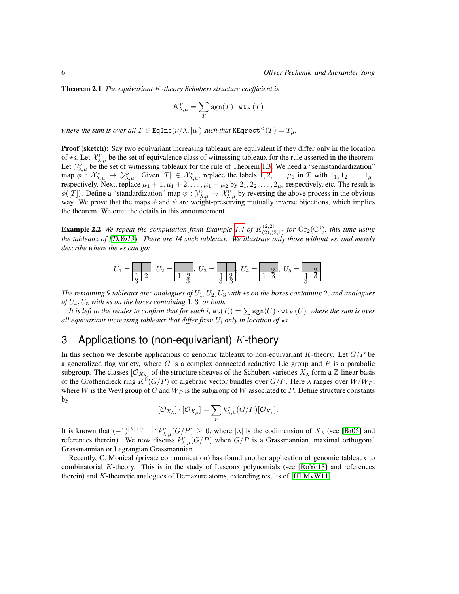Theorem 2.1 *The equivariant* K*-theory Schubert structure coefficient is*

$$
K_{\lambda,\mu}^{\nu}=\sum_{T}\text{sgn}(T)\cdot\text{wt}_K(T)
$$

*where the sum is over all*  $T \in \text{EqInc}(\nu/\lambda, |\mu|)$  *such that* KEqrect<sup> $<$ </sup> $(T) = T_{\mu}$ *.* 

Proof (sketch): Say two equivariant increasing tableaux are equivalent if they differ only in the location of  $\star$ s. Let  $\mathcal{X}_{\lambda,\mu}^{\nu}$  be the set of equivalence class of witnessing tableaux for the rule asserted in the theorem. Let  $\mathcal{Y}_{\lambda,\mu}^{\nu}$  be the set of witnessing tableaux for the rule of Theorem [1.3.](#page-3-0) We need a "semistandardization" map  $\phi$ :  $\mathcal{X}_{\lambda,\mu}^{\nu} \to \mathcal{Y}_{\lambda,\mu}^{\nu}$ . Given  $[T] \in \mathcal{X}_{\lambda,\mu}^{\nu}$ , replace the labels  $1, 2, \ldots, \mu_1$  in T with  $1_1, 1_2, \ldots, 1_{\mu_1}$ respectively. Next, replace  $\mu_1 + 1, \mu_1 + 2, \dots, \mu_1 + \mu_2$  by  $2_1, 2_2, \dots, 2_{\mu_2}$  respectively, etc. The result is  $\phi([T])$ . Define a "standardization" map  $\psi: \mathcal{Y}_{\lambda,\mu}^{\nu} \to \mathcal{X}_{\lambda,\mu}^{\nu}$  by reversing the above process in the obvious way. We prove that the maps  $\phi$  and  $\psi$  are weight-preserving mutually inverse bijections, which implies the theorem. We omit the details in this announcement.  $\Box$ 

**Example 2.2** We repeat the computation from Example [1.4](#page-3-1) of  $K_{(2),(2,1)}^{(2,2)}$  for  $\text{Gr}_2(\mathbb{C}^4)$ , this time using *the tableaux of [\[ThYo13\]](#page-11-5). There are 14 such tableaux. We illustrate only those without*  $\star$ *s, and merely describe where the*  $\star s$  *can go:* 

$$
U_1 = \boxed{\frac{1}{3}, 2}, \ U_2 = \boxed{\frac{1}{1 \cdot \frac{2}{3}}}, \ U_3 = \boxed{\frac{1}{3 \cdot \frac{2}{3}}}, \ U_4 = \boxed{\frac{2}{1 \cdot \frac{2}{3}}}, \ U_5 = \boxed{\frac{2}{3 \cdot \frac{2}{3}}}
$$

*The remaining* 9 tableaux are: analogues of  $U_1, U_2, U_3$  with  $\star s$  on the boxes containing 2, and analogues  $of U_4, U_5$  *with*  $\star s$  *on the boxes containing* 1*,* 3*, or both.* 

*It is left to the reader to confirm that for each i,*  $\text{wt}(T_i) = \sum \text{sgn}(U) \cdot \text{wt}_K(U)$ *, where the sum is over all equivariant increasing tableaux that differ from*  $U_i$  *only in location of*  $\star$ *s.* 

# 3 Applications to (non-equivariant)  $K$ -theory

In this section we describe applications of genomic tableaux to non-equivariant K-theory. Let  $G/P$  be a generalized flag variety, where  $G$  is a complex connected reductive Lie group and  $P$  is a parabolic subgroup. The classes  $[O_{X_\lambda}]$  of the structure sheaves of the Schubert varieties  $X_\lambda$  form a Z-linear basis of the Grothendieck ring  $K^0(G/P)$  of algebraic vector bundles over  $G/P$ . Here  $\lambda$  ranges over  $W/W_P$ , where W is the Weyl group of G and  $W_P$  is the subgroup of W associated to P. Define structure constants by

$$
[\mathcal{O}_{X_{\lambda}}] \cdot [\mathcal{O}_{X_{\mu}}] = \sum_{\nu} k_{\lambda,\mu}^{\nu} (G/P) [\mathcal{O}_{X_{\nu}}].
$$

It is known that  $(-1)^{|\lambda|+|\mu|-|\nu|}k_{\lambda,\mu}^{\nu}(G/P) \geq 0$ , where  $|\lambda|$  is the codimension of  $X_{\lambda}$  (see [\[Br05\]](#page-10-5) and references therein). We now discuss  $k_{\lambda,\mu}^{\nu}(G/P)$  when  $G/P$  is a Grassmannian, maximal orthogonal Grassmannian or Lagrangian Grassmannian.

Recently, C. Monical (private communication) has found another application of genomic tableaux to combinatorial K-theory. This is in the study of Lascoux polynomials (see [\[RoYo13\]](#page-11-6) and references therein) and K-theoretic analogues of Demazure atoms, extending results of [\[HLMvW11\]](#page-11-7).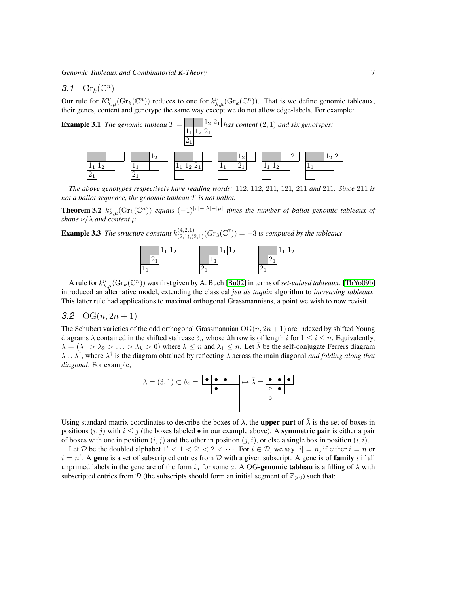### <span id="page-6-0"></span>3.1  $\mathrm{Gr}_k(\mathbb{C}^n)$

Our rule for  $K^{\nu}_{\lambda,\mu}(\text{Gr}_k(\mathbb{C}^n))$  reduces to one for  $k^{\nu}_{\lambda,\mu}(\text{Gr}_k(\mathbb{C}^n))$ . That is we define genomic tableaux, their genes, content and genotype the same way except we do not allow edge-labels. For example:



*The above genotypes respectively have reading words:* 112*,* 112*,* 211*,* 121*,* 211 *and* 211*. Since* 211 *is not a ballot sequence, the genomic tableau* T *is not ballot.*

**Theorem 3.2**  $k_{\lambda,\mu}^{\nu}(\text{Gr}_k(\mathbb{C}^n))$  equals  $(-1)^{|\nu|-|\lambda|-|\mu|}$  times the number of ballot genomic tableaux of *shape* ν/λ *and content* µ*.*

**Example 3.3** The structure constant  $k_{(2,1),(2,1)}^{(4,2,1)}(Gr_3(\mathbb{C}^7)) = -3$  is computed by the tableaux



A rule for  $k_{\lambda,\mu}^{\nu}(\text{Gr}_k(\mathbb{C}^n))$  was first given by A. Buch [\[Bu02\]](#page-10-0) in terms of *set-valued tableaux*. [\[ThYo09b\]](#page-11-8) introduced an alternative model, extending the classical *jeu de taquin* algorithm to *increasing tableaux*. This latter rule had applications to maximal orthogonal Grassmannians, a point we wish to now revisit.

#### 3.2  $O(G(n, 2n + 1))$

The Schubert varieties of the odd orthogonal Grassmannian  $OG(n, 2n + 1)$  are indexed by shifted Young diagrams  $\lambda$  contained in the shifted staircase  $\delta_n$  whose *i*th row is of length *i* for  $1 \le i \le n$ . Equivalently,  $\lambda = (\lambda_1 > \lambda_2 > \ldots > \lambda_k > 0)$  where  $k \leq n$  and  $\lambda_1 \leq n$ . Let  $\overline{\lambda}$  be the self-conjugate Ferrers diagram  $\lambda \cup \lambda^{\dagger}$ , where  $\lambda^{\dagger}$  is the diagram obtained by reflecting  $\lambda$  across the main diagonal *and folding along that diagonal*. For example,



Using standard matrix coordinates to describe the boxes of  $\lambda$ , the upper part of  $\bar{\lambda}$  is the set of boxes in positions  $(i, j)$  with  $i \leq j$  (the boxes labeled • in our example above). A symmetric pair is either a pair of boxes with one in position  $(i, j)$  and the other in position  $(j, i)$ , or else a single box in position  $(i, i)$ .

Let D be the doubled alphabet  $1' < 1 < 2' < 2 < \cdots$ . For  $i \in \mathcal{D}$ , we say  $|i| = n$ , if either  $i = n$  or  $i = n'$ . A gene is a set of subscripted entries from D with a given subscript. A gene is of family i if all unprimed labels in the gene are of the form  $i_a$  for some a. A OG-genomic tableau is a filling of  $\lambda$  with subscripted entries from D (the subscripts should form an initial segment of  $\mathbb{Z}_{>0}$ ) such that: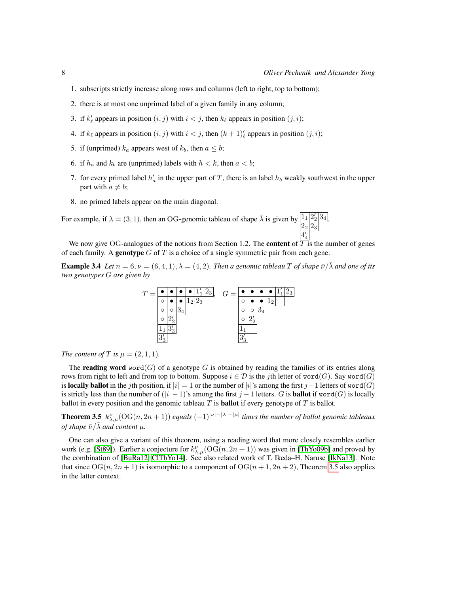.

- 1. subscripts strictly increase along rows and columns (left to right, top to bottom);
- 2. there is at most one unprimed label of a given family in any column;
- 3. if  $k'_\ell$  appears in position  $(i, j)$  with  $i < j$ , then  $k_\ell$  appears in position  $(j, i)$ ;
- 4. if  $k_{\ell}$  appears in position  $(i, j)$  with  $i < j$ , then  $(k + 1)_{\ell}$  appears in position  $(j, i)$ ;
- 5. if (unprimed)  $k_a$  appears west of  $k_b$ , then  $a \leq b$ ;
- 6. if  $h_a$  and  $k_b$  are (unprimed) labels with  $h < k$ , then  $a < b$ ;
- 7. for every primed label  $h'_a$  in the upper part of T, there is an label  $h_b$  weakly southwest in the upper part with  $a \neq b$ ;
- 8. no primed labels appear on the main diagonal.

For example, if  $\lambda = (3, 1)$ , then an OG-genomic tableau of shape  $\bar{\lambda}$  is given by  $\frac{1}{1} \frac{2}{2} \frac{3}{4}$  $2_{2} | 2_{3}$  $4'$ 

We now give OG-analogues of the notions from Section 1.2. The **content** of  $\overline{T}$  is the number of genes of each family. A **genotype** G of T is a choice of a single symmetric pair from each gene.

**Example 3.4** *Let*  $n = 6, \nu = (6, 4, 1), \lambda = (4, 2)$ *. Then a genomic tableau T of shape*  $\overline{\nu}/\lambda$  *and one of its two genotypes* G *are given by*



*The content of*  $T$  *is*  $\mu = (2, 1, 1)$ *.* 

The **reading word** word(G) of a genotype G is obtained by reading the families of its entries along rows from right to left and from top to bottom. Suppose  $i \in \mathcal{D}$  is the jth letter of word(G). Say word(G) is locally ballot in the jth position, if  $|i| = 1$  or the number of  $|i|$ 's among the first j – 1 letters of word $(G)$ is strictly less than the number of  $(|i| - 1)$ 's among the first  $j - 1$  letters. G is **ballot** if word(G) is locally ballot in every position and the genomic tableau  $T$  is **ballot** if every genotype of  $T$  is ballot.

<span id="page-7-0"></span>**Theorem 3.5**  $k_{\lambda,\mu}^{\nu}$ (OG(n, 2n + 1)) equals  $(-1)^{|\nu|-|\lambda|-|\mu|}$  times the number of ballot genomic tableaux *of shape*  $\bar{\nu}/\bar{\lambda}$  *and content*  $\mu$ *.* 

One can also give a variant of this theorem, using a reading word that more closely resembles earlier work (e.g. [\[St89\]](#page-11-9)). Earlier a conjecture for  $k_{\lambda,\mu}^{\nu}$  (OG( $n, 2n + 1$ )) was given in [\[ThYo09b\]](#page-11-8) and proved by the combination of [\[BuRa12,](#page-10-6) [ClThYo14\]](#page-10-7). See also related work of T. Ikeda–H. Naruse [\[IkNa13\]](#page-11-10). Note that since  $OG(n, 2n + 1)$  is isomorphic to a component of  $OG(n + 1, 2n + 2)$ , Theorem [3.5](#page-7-0) also applies in the latter context.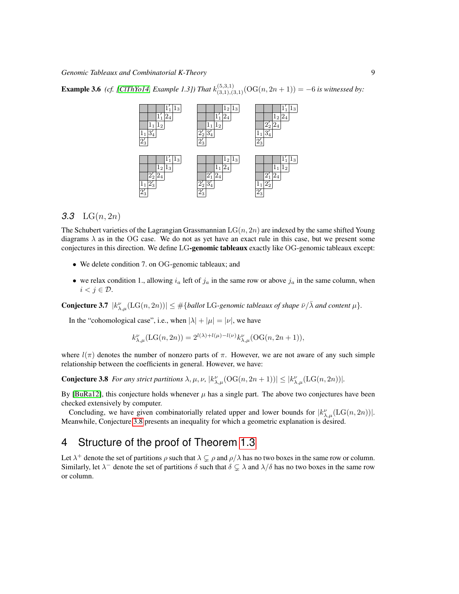**Example 3.6** (cf. [\[ClThYo14,](#page-10-7) Example 1.3]) That  $k_{(3,1),(3,1)}^{(5,3,1)}(\text{OG}(n,2n+1)) = -6$  is witnessed by:



#### *3.3* LG(n, 2n)

The Schubert varieties of the Lagrangian Grassmannian  $LG(n, 2n)$  are indexed by the same shifted Young diagrams  $\lambda$  as in the OG case. We do not as yet have an exact rule in this case, but we present some conjectures in this direction. We define LG-genomic tableaux exactly like OG-genomic tableaux except:

- We delete condition 7. on OG-genomic tableaux; and
- we relax condition 1., allowing  $i_a$  left of  $j_a$  in the same row or above  $j_a$  in the same column, when  $i < j \in \mathcal{D}$ .

**Conjecture 3.7**  $|k_{\lambda,\mu}^{\nu}(\text{LG}(n,2n))| \leq \#\{\text{ballot \, LG}\}\$  repromic tableaux of shape  $\bar{\nu}/\bar{\lambda}$  and content  $\mu\}$ .

In the "cohomological case", i.e., when  $|\lambda| + |\mu| = |\nu|$ , we have

$$
k_{\lambda,\mu}^{\nu}(\text{LG}(n,2n)) = 2^{l(\lambda)+l(\mu)-l(\nu)}k_{\lambda,\mu}^{\nu}(\text{OG}(n,2n+1)),
$$

where  $l(\pi)$  denotes the number of nonzero parts of  $\pi$ . However, we are not aware of any such simple relationship between the coefficients in general. However, we have:

<span id="page-8-0"></span>**Conjecture 3.8** For any strict partitions  $\lambda, \mu, \nu, |k_{\lambda,\mu}^{\nu}(\mathrm{OG}(n, 2n+1))| \leq |k_{\lambda,\mu}^{\nu}(\mathrm{LG}(n, 2n))|$ .

By [\[BuRa12\]](#page-10-6), this conjecture holds whenever  $\mu$  has a single part. The above two conjectures have been checked extensively by computer.

Concluding, we have given combinatorially related upper and lower bounds for  $|k_{\lambda,\mu}^{\nu}(\text{LG}(n,2n))|$ . Meanwhile, Conjecture [3.8](#page-8-0) presents an inequality for which a geometric explanation is desired.

# 4 Structure of the proof of Theorem [1.3](#page-3-0)

<span id="page-8-1"></span>Let  $\lambda^+$  denote the set of partitions  $\rho$  such that  $\lambda \subsetneq \rho$  and  $\rho/\lambda$  has no two boxes in the same row or column. Similarly, let  $\lambda^-$  denote the set of partitions  $\delta$  such that  $\delta \subsetneq \lambda$  and  $\lambda/\delta$  has no two boxes in the same row or column.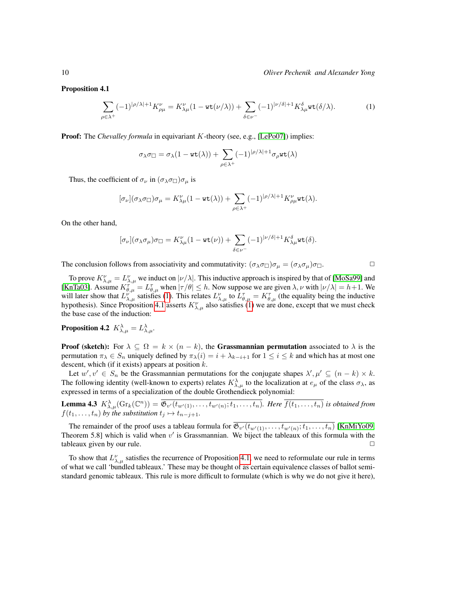Proposition 4.1

<span id="page-9-0"></span>
$$
\sum_{\rho \in \lambda^+} (-1)^{|\rho/\lambda|+1} K_{\rho\mu}^{\nu} = K_{\lambda\mu}^{\nu} (1 - \text{wt}(\nu/\lambda)) + \sum_{\delta \in \nu^-} (-1)^{|\nu/\delta|+1} K_{\lambda\mu}^{\delta} \text{wt}(\delta/\lambda). \tag{1}
$$

Proof: The *Chevalley formula* in equivariant *K*-theory (see, e.g., [\[LePo07\]](#page-11-11)) implies:

$$
\sigma_\lambda \sigma_\square = \sigma_\lambda (1 - \mathrm{wt}(\lambda)) + \sum_{\rho \in \lambda^+} (-1)^{|\rho/\lambda|+1} \sigma_\rho \mathrm{wt}(\lambda)
$$

Thus, the coefficient of  $\sigma_{\nu}$  in  $(\sigma_{\lambda}\sigma_{\square})\sigma_{\mu}$  is

$$
[\sigma_\nu](\sigma_\lambda\sigma_\square)\sigma_\mu=K_{\lambda\mu}^\nu(1-{\rm wt}(\lambda))+\sum_{\rho\in\lambda^+}(-1)^{|\rho/\lambda|+1}K_{\rho\mu}^\nu{\rm wt}(\lambda).
$$

On the other hand,

$$
[\sigma_\nu](\sigma_\lambda\sigma_\mu)\sigma_\square=K_{\lambda\mu}^\nu(1-{\rm wt}(\nu))+\sum_{\delta\in\nu^-}(-1)^{|\nu/\delta|+1}K_{\lambda\mu}^\delta{\rm wt}(\delta).
$$

The conclusion follows from associativity and commutativity:  $(\sigma_{\lambda}\sigma_{\Pi})\sigma_{\mu} = (\sigma_{\lambda}\sigma_{\mu})\sigma_{\Pi}$ .

To prove  $K_{\lambda,\mu}^{\nu}=L_{\lambda,\mu}^{\nu}$  we induct on  $|\nu/\lambda|$ . This inductive approach is inspired by that of [\[MoSa99\]](#page-11-12) and [\[KnTa03\]](#page-11-2). Assume  $K^{\tau''}_{\theta,\mu} = L^{\tau}_{\theta,\mu}$  when  $|\tau/\theta| \leq h$ . Now suppose we are given  $\lambda, \nu$  with  $|\nu/\lambda| = h+1$ . We will later show that  $L^{\nu}_{\lambda,\mu}$  satisfies [\(1\)](#page-9-0). This relates  $L^{\nu}_{\lambda,\mu}$  to  $L^{\tau}_{\theta,\mu} = K^{\tau}_{\theta,\mu}$  (the equality being the inductive hypothesis). Since Proposition [4.1](#page-8-1) asserts  $K_{\lambda,\mu}^{\nu}$  also satisfies [\(1\)](#page-9-0) we are done, except that we must check the base case of the induction:

Proposition 4.2  $K_{\lambda,\mu}^{\lambda}=L_{\lambda,\mu}^{\lambda}.$ 

**Proof (sketch):** For  $\lambda \subseteq \Omega = k \times (n - k)$ , the **Grassmannian permutation** associated to  $\lambda$  is the permutation  $\pi_{\lambda} \in S_n$  uniquely defined by  $\pi_{\lambda}(i) = i + \lambda_{k-i+1}$  for  $1 \le i \le k$  and which has at most one descent, which (if it exists) appears at position  $k$ .

Let  $w', v' \in S_n$  be the Grassmannian permutations for the conjugate shapes  $\lambda', \mu' \subseteq (n - k) \times k$ . The following identity (well-known to experts) relates  $K_{\lambda,\mu}^{\lambda}$  to the localization at  $e_{\mu}$  of the class  $\sigma_{\lambda}$ , as expressed in terms of a specialization of the double Grothendieck polynomial:

**Lemma 4.3**  $K^{\lambda}_{\lambda,\mu}(\text{Gr}_k(\mathbb{C}^n)) = \overline{\mathfrak{G}_{v'}(t_{w'(1)},\ldots,t_{w'(n)};t_1,\ldots,t_n)}$ . Here  $\overline{f(t_1,\ldots,t_n)}$  is obtained from  $f(t_1, \ldots, t_n)$  by the substitution  $t_j \mapsto t_{n-j+1}$ .

The remainder of the proof uses a tableau formula for  $\mathfrak{G}_{v'}(t_{w'(1)},\ldots,t_{w'(n)};t_1,\ldots,t_n)$  [\[KnMiYo09,](#page-11-13) Theorem 5.8] which is valid when  $v'$  is Grassmannian. We biject the tableaux of this formula with the tableaux given by our rule.  $\Box$ 

To show that  $L^{\nu}_{\lambda,\mu}$  satisfies the recurrence of Proposition [4.1,](#page-8-1) we need to reformulate our rule in terms of what we call 'bundled tableaux.' These may be thought of as certain equivalence classes of ballot semistandard genomic tableaux. This rule is more difficult to formulate (which is why we do not give it here),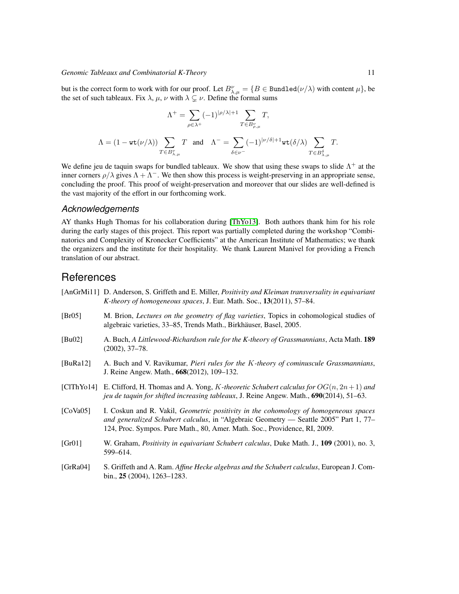but is the correct form to work with for our proof. Let  $B_{\lambda,\mu}^{\nu} = \{B \in \text{Bundred}(\nu/\lambda) \text{ with content } \mu\}$ , be the set of such tableaux. Fix  $\lambda$ ,  $\mu$ ,  $\nu$  with  $\lambda \subsetneq \nu$ . Define the formal sums

$$
\Lambda^+ = \sum_{\rho \in \lambda^+} (-1)^{|\rho/\lambda|+1} \sum_{T \in B_{\rho,\mu}^\nu} T,
$$
  

$$
\Lambda = (1 - \text{wt}(\nu/\lambda)) \sum_{T \in B_{\lambda,\mu}^\nu} T \text{ and } \Lambda^- = \sum_{\delta \in \nu^-} (-1)^{|\nu/\delta|+1} \text{wt}(\delta/\lambda) \sum_{T \in B_{\lambda,\mu}^\delta} T.
$$

We define jeu de taquin swaps for bundled tableaux. We show that using these swaps to slide  $\Lambda^+$  at the inner corners  $\rho/\lambda$  gives  $\Lambda + \Lambda^-$ . We then show this process is weight-preserving in an appropriate sense, concluding the proof. This proof of weight-preservation and moreover that our slides are well-defined is the vast majority of the effort in our forthcoming work.

### *Acknowledgements*

AY thanks Hugh Thomas for his collaboration during [\[ThYo13\]](#page-11-5). Both authors thank him for his role during the early stages of this project. This report was partially completed during the workshop "Combinatorics and Complexity of Kronecker Coefficients" at the American Institute of Mathematics; we thank the organizers and the institute for their hospitality. We thank Laurent Manivel for providing a French translation of our abstract.

### **References**

- <span id="page-10-3"></span>[AnGrMi11] D. Anderson, S. Griffeth and E. Miller, *Positivity and Kleiman transversality in equivariant K-theory of homogeneous spaces*, J. Eur. Math. Soc., 13(2011), 57–84.
- <span id="page-10-5"></span>[Br05] M. Brion, *Lectures on the geometry of flag varieties*, Topics in cohomological studies of algebraic varieties, 33–85, Trends Math., Birkhäuser, Basel, 2005.
- <span id="page-10-0"></span>[Bu02] A. Buch, *A Littlewood-Richardson rule for the K-theory of Grassmannians*, Acta Math. 189 (2002), 37–78.
- <span id="page-10-6"></span>[BuRa12] A. Buch and V. Ravikumar, *Pieri rules for the* K*-theory of cominuscule Grassmannians*, J. Reine Angew. Math., 668(2012), 109–132.
- <span id="page-10-7"></span>[ClThYo14] E. Clifford, H. Thomas and A. Yong, K*-theoretic Schubert calculus for* OG(n, 2n+ 1) *and jeu de taquin for shifted increasing tableaux*, J. Reine Angew. Math., 690(2014), 51–63.
- <span id="page-10-2"></span>[CoVa05] I. Coskun and R. Vakil, *Geometric positivity in the cohomology of homogeneous spaces and generalized Schubert calculus*, in "Algebraic Geometry — Seattle 2005" Part 1, 77– 124, Proc. Sympos. Pure Math., 80, Amer. Math. Soc., Providence, RI, 2009.
- <span id="page-10-1"></span>[Gr01] W. Graham, *Positivity in equivariant Schubert calculus*, Duke Math. J., 109 (2001), no. 3, 599–614.
- <span id="page-10-4"></span>[GrRa04] S. Griffeth and A. Ram. *Affine Hecke algebras and the Schubert calculus*, European J. Combin., 25 (2004), 1263–1283.